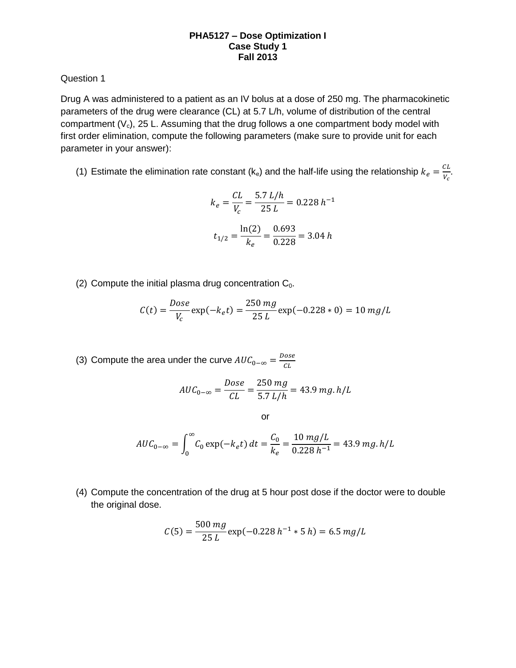Question 1

Drug A was administered to a patient as an IV bolus at a dose of 250 mg. The pharmacokinetic parameters of the drug were clearance (CL) at 5.7 L/h, volume of distribution of the central compartment  $(V_c)$ , 25 L. Assuming that the drug follows a one compartment body model with first order elimination, compute the following parameters (make sure to provide unit for each parameter in your answer):

(1) Estimate the elimination rate constant (k<sub>e</sub>) and the half-life using the relationship  $k_e = \frac{C}{v}$  $\frac{L}{V_c}$ .

$$
k_e = \frac{CL}{V_c} = \frac{5.7 \, L/h}{25 \, L} = 0.228 \, h^{-1}
$$
\n
$$
t_{1/2} = \frac{\ln(2)}{k_e} = \frac{0.693}{0.228} = 3.04 \, h
$$

(2) Compute the initial plasma drug concentration  $C_0$ .

$$
C(t) = \frac{Dose}{V_c} \exp(-k_e t) = \frac{250 mg}{25 L} \exp(-0.228 * 0) = 10 mg/L
$$

(3) Compute the area under the curve  $AUC_{0-\infty} = \frac{D}{2}$  $\mathcal C$ 

$$
AUC_{0-\infty} = \frac{Dose}{CL} = \frac{250 \, mg}{5.7 \, L/h} = 43.9 \, mg. \, h/L
$$

or

$$
AUC_{0-\infty} = \int_0^{\infty} C_0 \exp(-k_e t) dt = \frac{C_0}{k_e} = \frac{10 \, mg/L}{0.228 \, h^{-1}} = 43.9 \, mg. \, h/L
$$

(4) Compute the concentration of the drug at 5 hour post dose if the doctor were to double the original dose.

$$
C(5) = \frac{500 \, mg}{25 \, L} \exp(-0.228 \, h^{-1} \cdot 5 \, h) = 6.5 \, mg/L
$$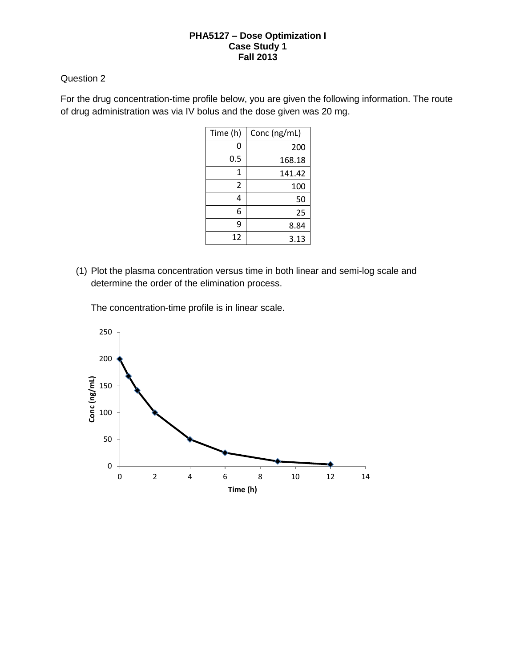# Question 2

For the drug concentration-time profile below, you are given the following information. The route of drug administration was via IV bolus and the dose given was 20 mg.

| Time (h) | Conc (ng/mL) |
|----------|--------------|
| 0        | 200          |
| 0.5      | 168.18       |
| 1        | 141.42       |
| 2        | 100          |
| 4        | 50           |
| 6        | 25           |
| 9        | 8.84         |
| 12       | 3.13         |

(1) Plot the plasma concentration versus time in both linear and semi-log scale and determine the order of the elimination process.

The concentration-time profile is in linear scale.

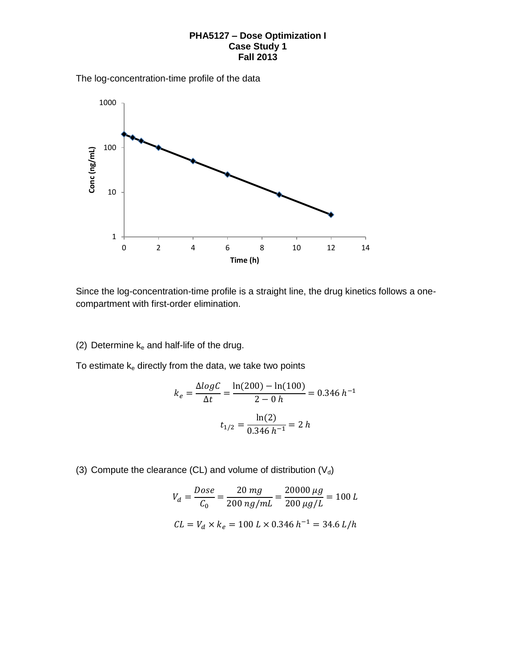The log-concentration-time profile of the data



Since the log-concentration-time profile is a straight line, the drug kinetics follows a onecompartment with first-order elimination.

(2) Determine  $k_e$  and half-life of the drug.

To estimate  $k_e$  directly from the data, we take two points

$$
k_e = \frac{\Delta \log C}{\Delta t} = \frac{\ln(200) - \ln(100)}{2 - 0 h} = 0.346 h^{-1}
$$

$$
t_{1/2} = \frac{\ln(2)}{0.346 h^{-1}} = 2 h
$$

(3) Compute the clearance (CL) and volume of distribution  $(V_d)$ 

$$
V_d = \frac{Dose}{C_0} = \frac{20 mg}{200 ng/mL} = \frac{20000 \,\mu g}{200 \,\mu g/L} = 100 L
$$
  

$$
CL = V_d \times k_e = 100 L \times 0.346 h^{-1} = 34.6 L/h
$$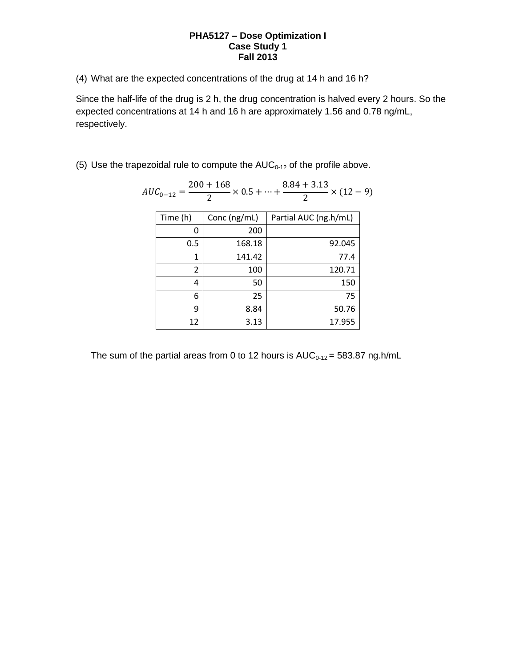(4) What are the expected concentrations of the drug at 14 h and 16 h?

Since the half-life of the drug is 2 h, the drug concentration is halved every 2 hours. So the expected concentrations at 14 h and 16 h are approximately 1.56 and 0.78 ng/mL, respectively.

(5) Use the trapezoidal rule to compute the  $AUC_{0-12}$  of the profile above.

| $AUC_{0-12} = \frac{200}{2}$ |              | $\frac{200+168}{2} \times 0.5 + \dots + \frac{8.84+3.13}{2} \times (12-9)$ |  |
|------------------------------|--------------|----------------------------------------------------------------------------|--|
| Time (h)                     | Conc (ng/mL) | Partial AUC (ng.h/mL)                                                      |  |
| 0                            | 200          |                                                                            |  |
| 0.5                          | 168.18       | 92.045                                                                     |  |
| 1                            | 141.42       | 77.4                                                                       |  |
| $\overline{2}$               | 100          | 120.71                                                                     |  |
| 4                            | 50           | 150                                                                        |  |
| 6                            | 25           | 75                                                                         |  |
| 9                            | 8.84         | 50.76                                                                      |  |
| 12                           | 3.13         | 17.955                                                                     |  |

The sum of the partial areas from 0 to 12 hours is  $AUC_{0-12} = 583.87$  ng.h/mL